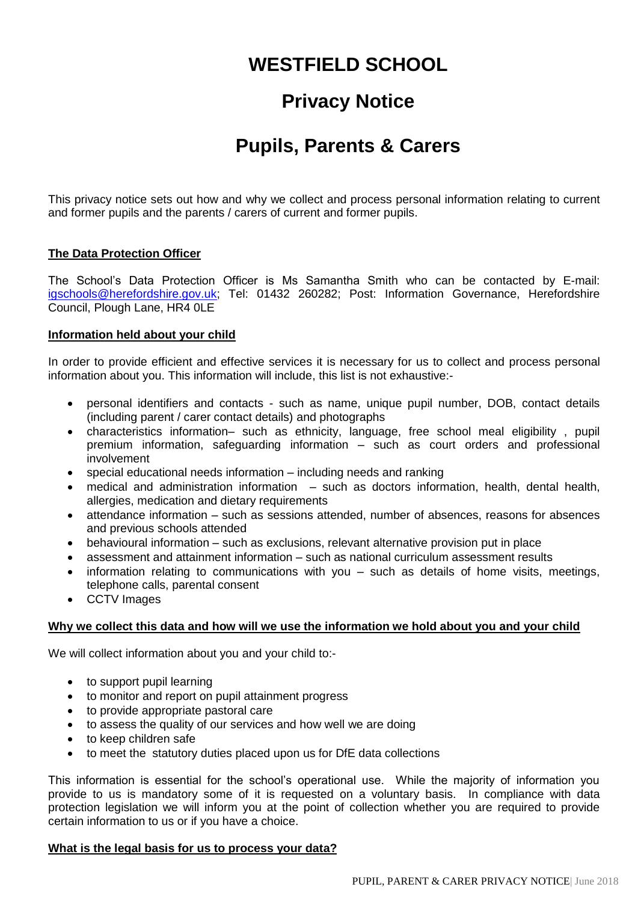# **WESTFIELD SCHOOL**

# **Privacy Notice**

# **Pupils, Parents & Carers**

This privacy notice sets out how and why we collect and process personal information relating to current and former pupils and the parents / carers of current and former pupils.

# **The Data Protection Officer**

The School's Data Protection Officer is Ms Samantha Smith who can be contacted by E-mail: [igschools@herefordshire.gov.uk;](mailto:igschools@herefordshire.gov.uk) Tel: 01432 260282; Post: Information Governance, Herefordshire Council, Plough Lane, HR4 0LE

# **Information held about your child**

In order to provide efficient and effective services it is necessary for us to collect and process personal information about you. This information will include, this list is not exhaustive:-

- personal identifiers and contacts such as name, unique pupil number, DOB, contact details (including parent / carer contact details) and photographs
- characteristics information– such as ethnicity, language, free school meal eligibility , pupil premium information, safeguarding information – such as court orders and professional involvement
- special educational needs information including needs and ranking
- medical and administration information such as doctors information, health, dental health, allergies, medication and dietary requirements
- attendance information such as sessions attended, number of absences, reasons for absences and previous schools attended
- behavioural information such as exclusions, relevant alternative provision put in place
- assessment and attainment information such as national curriculum assessment results
- information relating to communications with you such as details of home visits, meetings, telephone calls, parental consent
- CCTV Images

# **Why we collect this data and how will we use the information we hold about you and your child**

We will collect information about you and your child to:-

- to support pupil learning
- to monitor and report on pupil attainment progress
- to provide appropriate pastoral care
- to assess the quality of our services and how well we are doing
- to keep children safe
- to meet the statutory duties placed upon us for DfE data collections

This information is essential for the school's operational use. While the majority of information you provide to us is mandatory some of it is requested on a voluntary basis. In compliance with data protection legislation we will inform you at the point of collection whether you are required to provide certain information to us or if you have a choice.

# **What is the legal basis for us to process your data?**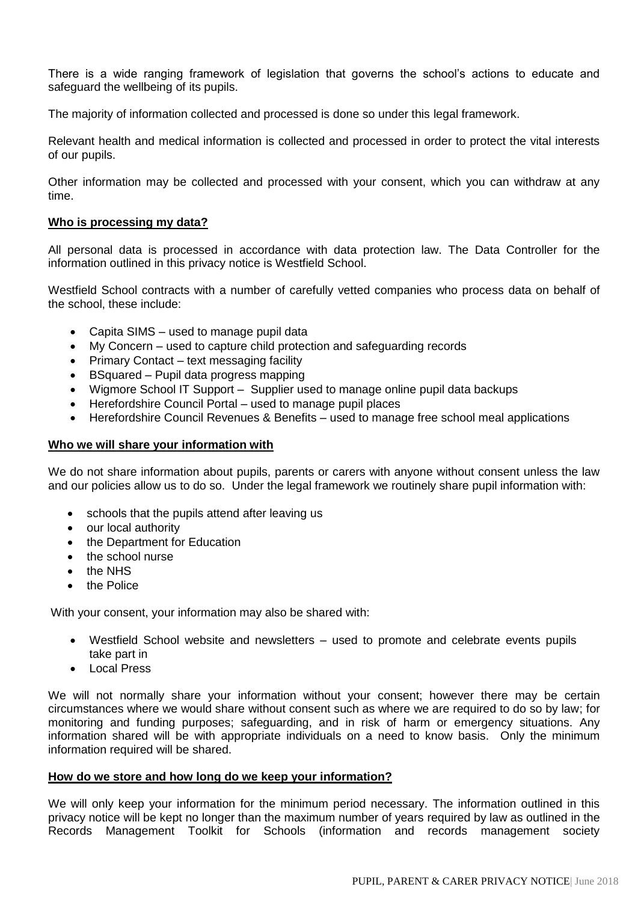There is a wide ranging framework of legislation that governs the school's actions to educate and safeguard the wellbeing of its pupils.

The majority of information collected and processed is done so under this legal framework.

Relevant health and medical information is collected and processed in order to protect the vital interests of our pupils.

Other information may be collected and processed with your consent, which you can withdraw at any time.

#### **Who is processing my data?**

All personal data is processed in accordance with data protection law. The Data Controller for the information outlined in this privacy notice is Westfield School.

Westfield School contracts with a number of carefully vetted companies who process data on behalf of the school, these include:

- Capita SIMS used to manage pupil data
- My Concern used to capture child protection and safeguarding records
- Primary Contact text messaging facility
- BSquared Pupil data progress mapping
- Wigmore School IT Support Supplier used to manage online pupil data backups
- Herefordshire Council Portal used to manage pupil places
- Herefordshire Council Revenues & Benefits used to manage free school meal applications

### **Who we will share your information with**

We do not share information about pupils, parents or carers with anyone without consent unless the law and our policies allow us to do so. Under the legal framework we routinely share pupil information with:

- schools that the pupils attend after leaving us
- our local authority
- the Department for Education
- the school nurse
- $\bullet$  the NHS
- the Police

With your consent, your information may also be shared with:

- Westfield School website and newsletters used to promote and celebrate events pupils take part in
- Local Press

We will not normally share your information without your consent; however there may be certain circumstances where we would share without consent such as where we are required to do so by law; for monitoring and funding purposes; safeguarding, and in risk of harm or emergency situations. Any information shared will be with appropriate individuals on a need to know basis. Only the minimum information required will be shared.

#### **How do we store and how long do we keep your information?**

We will only keep your information for the minimum period necessary. The information outlined in this privacy notice will be kept no longer than the maximum number of years required by law as outlined in the Records Management Toolkit for Schools (information and records management society